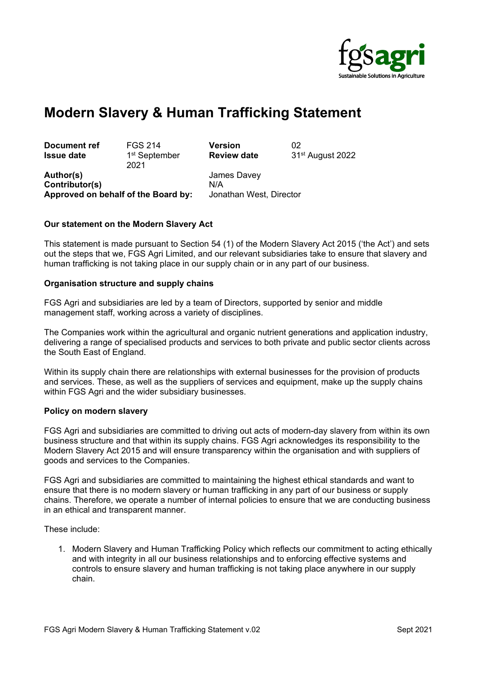

# **Modern Slavery & Human Trafficking Statement**

**Document ref** FGS 214 **Version** 02 **Issue date 1st September** 2021

**Review date** 31st August 2022

**Author(s)** James Davey **Contributor(s)** N/A **Approved on behalf of the Board by:** Jonathan West, Director

## **Our statement on the Modern Slavery Act**

This statement is made pursuant to Section 54 (1) of the Modern Slavery Act 2015 ('the Act') and sets out the steps that we, FGS Agri Limited, and our relevant subsidiaries take to ensure that slavery and human trafficking is not taking place in our supply chain or in any part of our business.

#### **Organisation structure and supply chains**

FGS Agri and subsidiaries are led by a team of Directors, supported by senior and middle management staff, working across a variety of disciplines.

The Companies work within the agricultural and organic nutrient generations and application industry, delivering a range of specialised products and services to both private and public sector clients across the South East of England.

Within its supply chain there are relationships with external businesses for the provision of products and services. These, as well as the suppliers of services and equipment, make up the supply chains within FGS Agri and the wider subsidiary businesses.

#### **Policy on modern slavery**

FGS Agri and subsidiaries are committed to driving out acts of modern-day slavery from within its own business structure and that within its supply chains. FGS Agri acknowledges its responsibility to the Modern Slavery Act 2015 and will ensure transparency within the organisation and with suppliers of goods and services to the Companies.

FGS Agri and subsidiaries are committed to maintaining the highest ethical standards and want to ensure that there is no modern slavery or human trafficking in any part of our business or supply chains. Therefore, we operate a number of internal policies to ensure that we are conducting business in an ethical and transparent manner.

These include:

1. Modern Slavery and Human Trafficking Policy which reflects our commitment to acting ethically and with integrity in all our business relationships and to enforcing effective systems and controls to ensure slavery and human trafficking is not taking place anywhere in our supply chain.